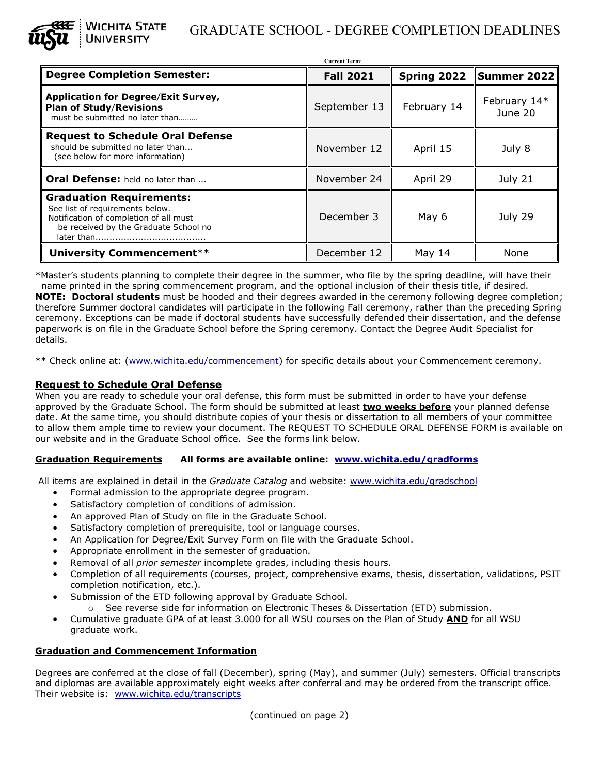

# WICHITA STATE GRADUATE SCHOOL - DEGREE COMPLETION DEADLINES<br>University

| <b>Current Term:</b>                                                                                                                                                |                  |             |                         |
|---------------------------------------------------------------------------------------------------------------------------------------------------------------------|------------------|-------------|-------------------------|
| <b>Degree Completion Semester:</b>                                                                                                                                  | <b>Fall 2021</b> | Spring 2022 | Summer 2022             |
| <b>Application for Degree/Exit Survey,</b><br><b>Plan of Study/Revisions</b><br>must be submitted no later than                                                     | September 13     | February 14 | February 14*<br>June 20 |
| <b>Request to Schedule Oral Defense</b><br>should be submitted no later than<br>(see below for more information)                                                    | November 12      | April 15    | July 8                  |
| Oral Defense: held no later than                                                                                                                                    | November 24      | April 29    | July 21                 |
| <b>Graduation Requirements:</b><br>See list of requirements below.<br>Notification of completion of all must<br>be received by the Graduate School no<br>later than | December 3       | May 6       | July 29                 |
| University Commencement**                                                                                                                                           | December 12      | May 14      | None                    |

\*Master's students planning to complete their degree in the summer, who file by the spring deadline, will have their name printed in the spring commencement program, and the optional inclusion of their thesis title, if desired. **NOTE: Doctoral students** must be hooded and their degrees awarded in the ceremony following degree completion; therefore Summer doctoral candidates will participate in the following Fall ceremony, rather than the preceding Spring ceremony. Exceptions can be made if doctoral students have successfully defended their dissertation, and the defense paperwork is on file in the Graduate School before the Spring ceremony. Contact the Degree Audit Specialist for details.

\*\* Check online at: [\(www.wichita.edu/commencement\)](http://www.wichita.edu/commencement) for specific details about your Commencement ceremony.

### **Request to Schedule Oral Defense**

When you are ready to schedule your oral defense, this form must be submitted in order to have your defense approved by the Graduate School. The form should be submitted at least **two weeks before** your planned defense date. At the same time, you should distribute copies of your thesis or dissertation to all members of your committee to allow them ample time to review your document. The REQUEST TO SCHEDULE ORAL DEFENSE FORM is available on our website and in the Graduate School office. See the forms link below.

#### **Graduation Requirements All forms are available online: [www.wichita.edu/gradforms](http://www.wichita.edu/gradforms)**

All items are explained in detail in the *Graduate Catalog* and website: [www.wichita.edu/gradschool](http://www.wichita.edu/gradschool)

- Formal admission to the appropriate degree program.
- Satisfactory completion of conditions of admission.
- An approved Plan of Study on file in the Graduate School.
- Satisfactory completion of prerequisite, tool or language courses.
- An Application for Degree/Exit Survey Form on file with the Graduate School.
- Appropriate enrollment in the semester of graduation.
- Removal of all *prior semester* incomplete grades, including thesis hours.
- Completion of all requirements (courses, project, comprehensive exams, thesis, dissertation, validations, PSIT completion notification, etc.).
- Submission of the ETD following approval by Graduate School.
	- o See reverse side for information on Electronic Theses & Dissertation (ETD) submission.
- Cumulative graduate GPA of at least 3.000 for all WSU courses on the Plan of Study **AND** for all WSU graduate work.

#### **Graduation and Commencement Information**

Degrees are conferred at the close of fall (December), spring (May), and summer (July) semesters. Official transcripts and diplomas are available approximately eight weeks after conferral and may be ordered from the transcript office. Their website is: [www.wichita.edu/transcripts](http://www.wichita.edu/transcripts)

(continued on page 2)